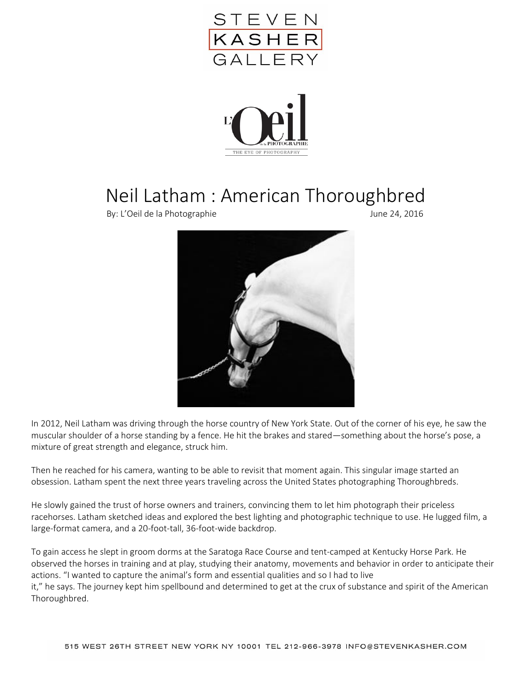



## Neil Latham : American Thoroughbred

By: L'Oeil de la Photographie June 24, 2016



In 2012, Neil Latham was driving through the horse country of New York State. Out of the corner of his eye, he saw the muscular shoulder of a horse standing by a fence. He hit the brakes and stared—something about the horse's pose, a mixture of great strength and elegance, struck him.

Then he reached for his camera, wanting to be able to revisit that moment again. This singular image started an obsession. Latham spent the next three years traveling across the United States photographing Thoroughbreds.

He slowly gained the trust of horse owners and trainers, convincing them to let him photograph their priceless racehorses. Latham sketched ideas and explored the best lighting and photographic technique to use. He lugged film, a large-format camera, and a 20-foot-tall, 36-foot-wide backdrop.

To gain access he slept in groom dorms at the Saratoga Race Course and tent-camped at Kentucky Horse Park. He observed the horses in training and at play, studying their anatomy, movements and behavior in order to anticipate their actions. "I wanted to capture the animal's form and essential qualities and so I had to live it," he says. The journey kept him spellbound and determined to get at the crux of substance and spirit of the American Thoroughbred.